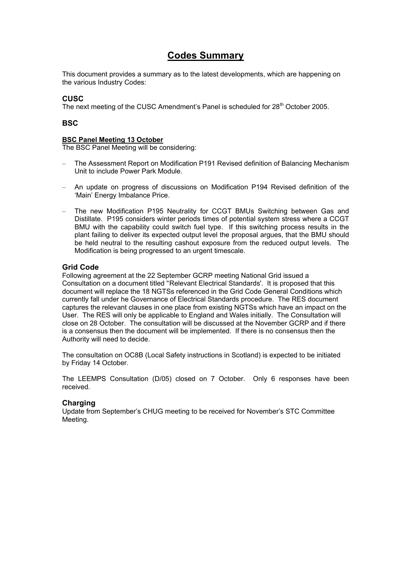# **Codes Summary**

This document provides a summary as to the latest developments, which are happening on the various Industry Codes:

### **CUSC**

The next meeting of the CUSC Amendment's Panel is scheduled for 28<sup>th</sup> October 2005.

### **BSC**

#### **BSC Panel Meeting 13 October**

The BSC Panel Meeting will be considering:

- The Assessment Report on Modification P191 Revised definition of Balancing Mechanism Unit to include Power Park Module.
- An update on progress of discussions on Modification P194 Revised definition of the 'Main' Energy Imbalance Price.
- The new Modification P195 Neutrality for CCGT BMUs Switching between Gas and Distillate. P195 considers winter periods times of potential system stress where a CCGT BMU with the capability could switch fuel type. If this switching process results in the plant failing to deliver its expected output level the proposal argues, that the BMU should be held neutral to the resulting cashout exposure from the reduced output levels. The Modification is being progressed to an urgent timescale.

### **Grid Code**

Following agreement at the 22 September GCRP meeting National Grid issued a Consultation on a document titled ''Relevant Electrical Standards'. It is proposed that this document will replace the 18 NGTSs referenced in the Grid Code General Conditions which currently fall under he Governance of Electrical Standards procedure. The RES document captures the relevant clauses in one place from existing NGTSs which have an impact on the User. The RES will only be applicable to England and Wales initially. The Consultation will close on 28 October. The consultation will be discussed at the November GCRP and if there is a consensus then the document will be implemented. If there is no consensus then the Authority will need to decide.

The consultation on OC8B (Local Safety instructions in Scotland) is expected to be initiated by Friday 14 October.

The LEEMPS Consultation (D/05) closed on 7 October. Only 6 responses have been received.

#### **Charging**

Update from September's CHUG meeting to be received for November's STC Committee Meeting.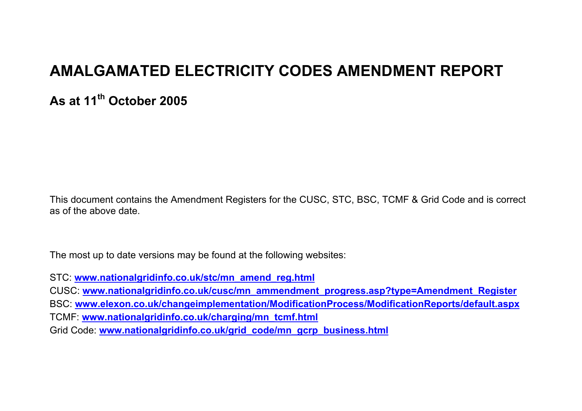# **AMALGAMATED ELECTRICITY CODES AMENDMENT REPORT**

**As at 11th October 2005** 

This document contains the Amendment Registers for the CUSC, STC, BSC, TCMF & Grid Code and is correct as of the above date.

The most up to date versions may be found at the following websites:

STC: **www.nationalgridinfo.co.uk/stc/mn\_amend\_reg.html**

CUSC: **www.nationalgridinfo.co.uk/cusc/mn\_ammendment\_progress.asp?type=Amendment\_Register** BSC: **www.elexon.co.uk/changeimplementation/ModificationProcess/ModificationReports/default.aspx** TCMF: **www.nationalgridinfo.co.uk/charging/mn\_tcmf.html**

Grid Code: **www.nationalgridinfo.co.uk/grid\_code/mn\_gcrp\_business.html**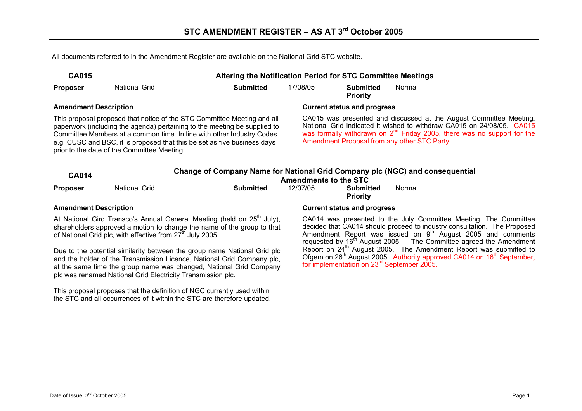All documents referred to in the Amendment Register are available on the National Grid STC website.

| <b>CA015</b>                 | Altering the Notification Period for STC Committee Meetings           |                                                                                                                                                                                                                                                                                                                                                                                           |                                    |                                     |                                                                                                                                                                                                                                                                              |  |  |
|------------------------------|-----------------------------------------------------------------------|-------------------------------------------------------------------------------------------------------------------------------------------------------------------------------------------------------------------------------------------------------------------------------------------------------------------------------------------------------------------------------------------|------------------------------------|-------------------------------------|------------------------------------------------------------------------------------------------------------------------------------------------------------------------------------------------------------------------------------------------------------------------------|--|--|
| <b>Proposer</b>              | <b>National Grid</b>                                                  | <b>Submitted</b>                                                                                                                                                                                                                                                                                                                                                                          | 17/08/05                           | <b>Submitted</b><br><b>Priority</b> | Normal                                                                                                                                                                                                                                                                       |  |  |
| <b>Amendment Description</b> |                                                                       |                                                                                                                                                                                                                                                                                                                                                                                           |                                    | <b>Current status and progress</b>  |                                                                                                                                                                                                                                                                              |  |  |
| <b>CA014</b>                 | prior to the date of the Committee Meeting.                           | This proposal proposed that notice of the STC Committee Meeting and all<br>paperwork (including the agenda) pertaining to the meeting be supplied to<br>Committee Members at a common time. In line with other Industry Codes<br>e.g. CUSC and BSC, it is proposed that this be set as five business days<br>Change of Company Name for National Grid Company plc (NGC) and consequential | <b>Amendments to the STC</b>       |                                     | CA015 was presented and discussed at the August Committee Meeting.<br>National Grid indicated it wished to withdraw CA015 on 24/08/05. CA015<br>was formally withdrawn on $2^{nd}$ Friday 2005, there was no support for the<br>Amendment Proposal from any other STC Party. |  |  |
| <b>Proposer</b>              | <b>National Grid</b>                                                  | <b>Submitted</b>                                                                                                                                                                                                                                                                                                                                                                          | 12/07/05                           | Submitted<br><b>Priority</b>        | Normal                                                                                                                                                                                                                                                                       |  |  |
| <b>Amendment Description</b> |                                                                       |                                                                                                                                                                                                                                                                                                                                                                                           | <b>Current status and progress</b> |                                     |                                                                                                                                                                                                                                                                              |  |  |
|                              | of National Grid plc, with effective from 27 <sup>th</sup> July 2005. | At National Gird Transco's Annual General Meeting (held on 25 <sup>th</sup> July),<br>shareholders approved a motion to change the name of the group to that                                                                                                                                                                                                                              |                                    |                                     | CA014 was presented to the July Committee Meeting. The Committee<br>decided that CA014 should proceed to industry consultation. The Proposed<br>Amendment Report was issued on $9m$ August 2005 and comments                                                                 |  |  |

Due to the potential similarity between the group name National Grid plc and the holder of the Transmission Licence, National Grid Company plc, at the same time the group name was changed, National Grid Company plc was renamed National Grid Electricity Transmission plc.

This proposal proposes that the definition of NGC currently used within the STC and all occurrences of it within the STC are therefore updated.

Amendment Report was issued on  $9<sup>th</sup>$  August 2005 and comments requested by  $16<sup>th</sup>$  August 2005. The Committee agreed the Amendment Report on 24<sup>th</sup> August 2005. The Amendment Report was submitted to Ofgem on 26<sup>th</sup> August 2005. Authority approved CA014 on 16<sup>th</sup> September, for implementation on 23rd September 2005.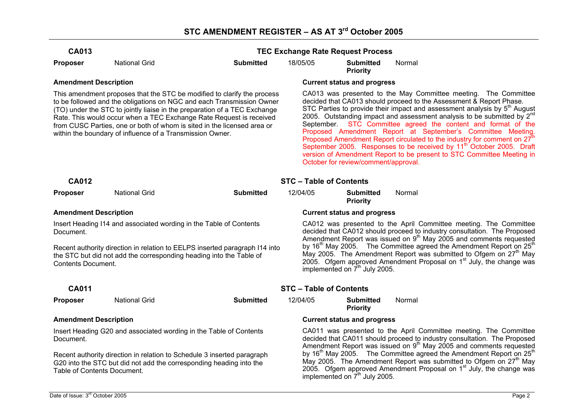| <b>National Grid</b> | <b>Submitted</b>                                                                                                                                         | 18/05/05                                                                                                                                                                                                                                                                                                                                                                                                                                                                                                                                                                                                                                                                                                                                                                                                                                                                                         | <b>Submitted</b><br><b>Priority</b> | Normal                                                                                                                                                                                                                                                                                                                                                                                                                                                                                                                                                                                                                                                                           |
|----------------------|----------------------------------------------------------------------------------------------------------------------------------------------------------|--------------------------------------------------------------------------------------------------------------------------------------------------------------------------------------------------------------------------------------------------------------------------------------------------------------------------------------------------------------------------------------------------------------------------------------------------------------------------------------------------------------------------------------------------------------------------------------------------------------------------------------------------------------------------------------------------------------------------------------------------------------------------------------------------------------------------------------------------------------------------------------------------|-------------------------------------|----------------------------------------------------------------------------------------------------------------------------------------------------------------------------------------------------------------------------------------------------------------------------------------------------------------------------------------------------------------------------------------------------------------------------------------------------------------------------------------------------------------------------------------------------------------------------------------------------------------------------------------------------------------------------------|
|                      |                                                                                                                                                          |                                                                                                                                                                                                                                                                                                                                                                                                                                                                                                                                                                                                                                                                                                                                                                                                                                                                                                  |                                     |                                                                                                                                                                                                                                                                                                                                                                                                                                                                                                                                                                                                                                                                                  |
|                      |                                                                                                                                                          |                                                                                                                                                                                                                                                                                                                                                                                                                                                                                                                                                                                                                                                                                                                                                                                                                                                                                                  |                                     | CA013 was presented to the May Committee meeting. The Committee<br>decided that CA013 should proceed to the Assessment & Report Phase.<br>STC Parties to provide their impact and assessment analysis by $5th$ August<br>2005. Outstanding impact and assessment analysis to be submitted by $2^{nd}$<br>September. STC Committee agreed the content and format of the<br>Proposed Amendment Report at September's Committee Meeting.<br>Proposed Amendment Report circulated to the industry for comment on $27th$<br>September 2005. Responses to be received by 11 <sup>th</sup> October 2005. Draft<br>version of Amendment Report to be present to STC Committee Meeting in |
|                      |                                                                                                                                                          |                                                                                                                                                                                                                                                                                                                                                                                                                                                                                                                                                                                                                                                                                                                                                                                                                                                                                                  |                                     |                                                                                                                                                                                                                                                                                                                                                                                                                                                                                                                                                                                                                                                                                  |
| <b>National Grid</b> | <b>Submitted</b>                                                                                                                                         | 12/04/05                                                                                                                                                                                                                                                                                                                                                                                                                                                                                                                                                                                                                                                                                                                                                                                                                                                                                         | Submitted<br><b>Priority</b>        | Normal                                                                                                                                                                                                                                                                                                                                                                                                                                                                                                                                                                                                                                                                           |
|                      |                                                                                                                                                          |                                                                                                                                                                                                                                                                                                                                                                                                                                                                                                                                                                                                                                                                                                                                                                                                                                                                                                  |                                     |                                                                                                                                                                                                                                                                                                                                                                                                                                                                                                                                                                                                                                                                                  |
|                      |                                                                                                                                                          |                                                                                                                                                                                                                                                                                                                                                                                                                                                                                                                                                                                                                                                                                                                                                                                                                                                                                                  |                                     | CA012 was presented to the April Committee meeting. The Committee<br>decided that CA012 should proceed to industry consultation. The Proposed<br>Amendment Report was issued on $9th$ May 2005 and comments requested                                                                                                                                                                                                                                                                                                                                                                                                                                                            |
|                      |                                                                                                                                                          |                                                                                                                                                                                                                                                                                                                                                                                                                                                                                                                                                                                                                                                                                                                                                                                                                                                                                                  |                                     | by $16th$ May 2005. The Committee agreed the Amendment Report on $25th$<br>May 2005. The Amendment Report was submitted to Ofgem on 27 <sup>th</sup> May<br>2005. Ofgem approved Amendment Proposal on 1 <sup>st</sup> July, the change was                                                                                                                                                                                                                                                                                                                                                                                                                                      |
|                      |                                                                                                                                                          |                                                                                                                                                                                                                                                                                                                                                                                                                                                                                                                                                                                                                                                                                                                                                                                                                                                                                                  |                                     |                                                                                                                                                                                                                                                                                                                                                                                                                                                                                                                                                                                                                                                                                  |
| <b>National Grid</b> | <b>Submitted</b>                                                                                                                                         | 12/04/05                                                                                                                                                                                                                                                                                                                                                                                                                                                                                                                                                                                                                                                                                                                                                                                                                                                                                         | <b>Submitted</b><br><b>Priority</b> | Normal                                                                                                                                                                                                                                                                                                                                                                                                                                                                                                                                                                                                                                                                           |
|                      |                                                                                                                                                          |                                                                                                                                                                                                                                                                                                                                                                                                                                                                                                                                                                                                                                                                                                                                                                                                                                                                                                  |                                     |                                                                                                                                                                                                                                                                                                                                                                                                                                                                                                                                                                                                                                                                                  |
|                      |                                                                                                                                                          |                                                                                                                                                                                                                                                                                                                                                                                                                                                                                                                                                                                                                                                                                                                                                                                                                                                                                                  |                                     | CA011 was presented to the April Committee meeting. The Committee<br>decided that CA011 should proceed to industry consultation. The Proposed<br>Amendment Report was issued on $9th$ May 2005 and comments requested<br>by $16th$ May 2005. The Committee agreed the Amendment Report on $25th$<br>May 2005. The Amendment Report was submitted to Ofgem on 27 <sup>th</sup> May<br>2005. Ofgem approved Amendment Proposal on 1 <sup>st</sup> July, the change was                                                                                                                                                                                                             |
|                      | <b>Amendment Description</b><br><b>Amendment Description</b><br><b>Contents Document.</b><br><b>Amendment Description</b><br>Table of Contents Document. | This amendment proposes that the STC be modified to clarify the process<br>to be followed and the obligations on NGC and each Transmission Owner<br>(TO) under the STC to jointly liaise in the preparation of a TEC Exchange<br>Rate. This would occur when a TEC Exchange Rate Request is received<br>from CUSC Parties, one or both of whom is sited in the licensed area or<br>within the boundary of influence of a Transmission Owner.<br>Insert Heading I14 and associated wording in the Table of Contents<br>Recent authority direction in relation to EELPS inserted paragraph 114 into<br>the STC but did not add the corresponding heading into the Table of<br>Insert Heading G20 and associated wording in the Table of Contents<br>Recent authority direction in relation to Schedule 3 inserted paragraph<br>G20 into the STC but did not add the corresponding heading into the |                                     | <b>TEC Exchange Rate Request Process</b><br><b>Current status and progress</b><br>October for review/comment/approval.<br><b>STC - Table of Contents</b><br><b>Current status and progress</b><br>implemented on 7 <sup>th</sup> July 2005.<br><b>STC - Table of Contents</b><br><b>Current status and progress</b>                                                                                                                                                                                                                                                                                                                                                              |

implemented on  $7<sup>th</sup>$  July 2005.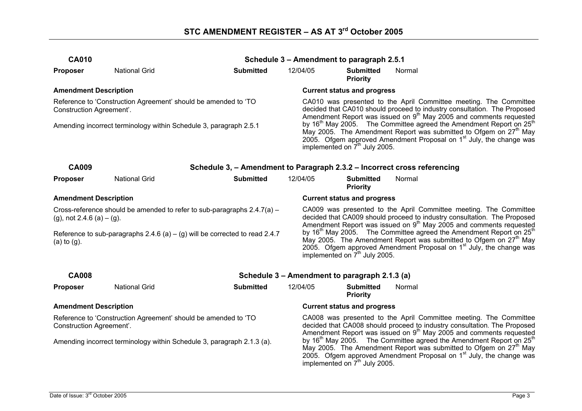| <b>CA010</b>                                                                                           |                                                                        |                                                                          |                                                                                                                                                                                                                                                                                          | Schedule 3 - Amendment to paragraph 2.5.1     |                                                                                                                                                                                                                                                       |  |  |  |
|--------------------------------------------------------------------------------------------------------|------------------------------------------------------------------------|--------------------------------------------------------------------------|------------------------------------------------------------------------------------------------------------------------------------------------------------------------------------------------------------------------------------------------------------------------------------------|-----------------------------------------------|-------------------------------------------------------------------------------------------------------------------------------------------------------------------------------------------------------------------------------------------------------|--|--|--|
| <b>Proposer</b>                                                                                        | <b>National Grid</b>                                                   | <b>Submitted</b>                                                         | 12/04/05                                                                                                                                                                                                                                                                                 | <b>Submitted</b><br><b>Priority</b>           | Normal                                                                                                                                                                                                                                                |  |  |  |
| <b>Amendment Description</b>                                                                           |                                                                        |                                                                          |                                                                                                                                                                                                                                                                                          | <b>Current status and progress</b>            |                                                                                                                                                                                                                                                       |  |  |  |
| Reference to 'Construction Agreement' should be amended to 'TO<br>Construction Agreement'.             |                                                                        |                                                                          | CA010 was presented to the April Committee meeting. The Committee<br>decided that CA010 should proceed to industry consultation. The Proposed<br>Amendment Report was issued on $9th$ May 2005 and comments requested                                                                    |                                               |                                                                                                                                                                                                                                                       |  |  |  |
| Amending incorrect terminology within Schedule 3, paragraph 2.5.1                                      |                                                                        |                                                                          | by 16 <sup>th</sup> May 2005. The Committee agreed the Amendment Report on $25th$<br>May 2005. The Amendment Report was submitted to Ofgem on 27 <sup>th</sup> May<br>2005. Ofgem approved Amendment Proposal on 1 <sup>st</sup> July, the change was<br>implemented on $7th$ July 2005. |                                               |                                                                                                                                                                                                                                                       |  |  |  |
| <b>CA009</b>                                                                                           |                                                                        | Schedule 3, - Amendment to Paragraph 2.3.2 - Incorrect cross referencing |                                                                                                                                                                                                                                                                                          |                                               |                                                                                                                                                                                                                                                       |  |  |  |
| <b>Proposer</b>                                                                                        | <b>National Grid</b>                                                   | <b>Submitted</b>                                                         | 12/04/05                                                                                                                                                                                                                                                                                 | <b>Submitted</b><br><b>Priority</b>           | Normal                                                                                                                                                                                                                                                |  |  |  |
| <b>Amendment Description</b>                                                                           |                                                                        |                                                                          |                                                                                                                                                                                                                                                                                          | <b>Current status and progress</b>            |                                                                                                                                                                                                                                                       |  |  |  |
| Cross-reference should be amended to refer to sub-paragraphs 2.4.7(a) -<br>(g), not 2.4.6 (a) $-$ (g). |                                                                        |                                                                          | CA009 was presented to the April Committee meeting. The Committee<br>decided that CA009 should proceed to industry consultation. The Proposed<br>Amendment Report was issued on 9 <sup>th</sup> May 2005 and comments requested                                                          |                                               |                                                                                                                                                                                                                                                       |  |  |  |
| Reference to sub-paragraphs $2.4.6$ (a) $-$ (g) will be corrected to read 2.4.7<br>$(a)$ to $(g)$ .    |                                                                        |                                                                          | by 16 <sup>th</sup> May 2005. The Committee agreed the Amendment Report on 25 <sup>th</sup><br>May 2005. The Amendment Report was submitted to Ofgem on $27th$ May<br>2005. Ofgem approved Amendment Proposal on 1 <sup>st</sup> July, the change was<br>implemented on $7th$ July 2005. |                                               |                                                                                                                                                                                                                                                       |  |  |  |
| <b>CA008</b>                                                                                           |                                                                        |                                                                          |                                                                                                                                                                                                                                                                                          | Schedule 3 - Amendment to paragraph 2.1.3 (a) |                                                                                                                                                                                                                                                       |  |  |  |
| <b>Proposer</b>                                                                                        | <b>National Grid</b>                                                   | <b>Submitted</b>                                                         | 12/04/05                                                                                                                                                                                                                                                                                 | <b>Submitted</b><br><b>Priority</b>           | Normal                                                                                                                                                                                                                                                |  |  |  |
| <b>Amendment Description</b>                                                                           |                                                                        |                                                                          |                                                                                                                                                                                                                                                                                          | <b>Current status and progress</b>            |                                                                                                                                                                                                                                                       |  |  |  |
| Construction Agreement'.                                                                               | Reference to 'Construction Agreement' should be amended to 'TO         |                                                                          | CA008 was presented to the April Committee meeting. The Committee<br>decided that CA008 should proceed to industry consultation. The Proposed<br>Amendment Report was issued on 9 <sup>th</sup> May 2005 and comments requested                                                          |                                               |                                                                                                                                                                                                                                                       |  |  |  |
|                                                                                                        | Amending incorrect terminology within Schedule 3, paragraph 2.1.3 (a). |                                                                          |                                                                                                                                                                                                                                                                                          | implemented on 7 <sup>th</sup> July 2005.     | by 16 <sup>th</sup> May 2005. The Committee agreed the Amendment Report on $25th$<br>May 2005. The Amendment Report was submitted to Ofgem on 27 <sup>th</sup> May<br>2005. Ofgem approved Amendment Proposal on 1 <sup>st</sup> July, the change was |  |  |  |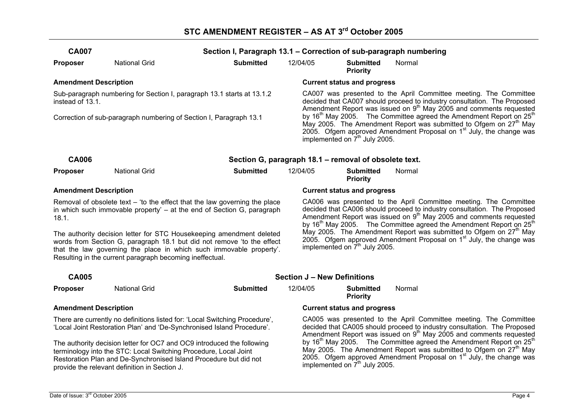| <b>CA007</b>                                                                                                                                                                                                                                                                      |                                                                                                                                                                                                                                                                  | Section I, Paragraph 13.1 - Correction of sub-paragraph numbering |                                                                                                                                                                                                                                                                                                                                                                                                                                                                                                                                       |                                           |                                                                                                                                                                                                                                                                 |  |  |
|-----------------------------------------------------------------------------------------------------------------------------------------------------------------------------------------------------------------------------------------------------------------------------------|------------------------------------------------------------------------------------------------------------------------------------------------------------------------------------------------------------------------------------------------------------------|-------------------------------------------------------------------|---------------------------------------------------------------------------------------------------------------------------------------------------------------------------------------------------------------------------------------------------------------------------------------------------------------------------------------------------------------------------------------------------------------------------------------------------------------------------------------------------------------------------------------|-------------------------------------------|-----------------------------------------------------------------------------------------------------------------------------------------------------------------------------------------------------------------------------------------------------------------|--|--|
| <b>Proposer</b>                                                                                                                                                                                                                                                                   | <b>National Grid</b>                                                                                                                                                                                                                                             | <b>Submitted</b>                                                  | 12/04/05                                                                                                                                                                                                                                                                                                                                                                                                                                                                                                                              | <b>Submitted</b><br><b>Priority</b>       | Normal                                                                                                                                                                                                                                                          |  |  |
| <b>Amendment Description</b>                                                                                                                                                                                                                                                      |                                                                                                                                                                                                                                                                  |                                                                   |                                                                                                                                                                                                                                                                                                                                                                                                                                                                                                                                       | <b>Current status and progress</b>        |                                                                                                                                                                                                                                                                 |  |  |
| instead of 13.1.                                                                                                                                                                                                                                                                  | Sub-paragraph numbering for Section I, paragraph 13.1 starts at 13.1.2                                                                                                                                                                                           |                                                                   |                                                                                                                                                                                                                                                                                                                                                                                                                                                                                                                                       |                                           | CA007 was presented to the April Committee meeting. The Committee<br>decided that CA007 should proceed to industry consultation. The Proposed<br>Amendment Report was issued on $9th$ May 2005 and comments requested                                           |  |  |
|                                                                                                                                                                                                                                                                                   | Correction of sub-paragraph numbering of Section I, Paragraph 13.1                                                                                                                                                                                               |                                                                   |                                                                                                                                                                                                                                                                                                                                                                                                                                                                                                                                       | implemented on 7 <sup>th</sup> July 2005. | by 16 <sup>th</sup> May 2005. The Committee agreed the Amendment Report on 25 <sup>th</sup><br>May 2005. The Amendment Report was submitted to Ofgem on 27 <sup>th</sup> May<br>2005. Ofgem approved Amendment Proposal on 1 <sup>st</sup> July, the change was |  |  |
| <b>CA006</b>                                                                                                                                                                                                                                                                      |                                                                                                                                                                                                                                                                  | Section G, paragraph 18.1 - removal of obsolete text.             |                                                                                                                                                                                                                                                                                                                                                                                                                                                                                                                                       |                                           |                                                                                                                                                                                                                                                                 |  |  |
| <b>Proposer</b>                                                                                                                                                                                                                                                                   | <b>National Grid</b>                                                                                                                                                                                                                                             | <b>Submitted</b>                                                  | 12/04/05                                                                                                                                                                                                                                                                                                                                                                                                                                                                                                                              | <b>Submitted</b><br><b>Priority</b>       | Normal                                                                                                                                                                                                                                                          |  |  |
| <b>Amendment Description</b>                                                                                                                                                                                                                                                      |                                                                                                                                                                                                                                                                  |                                                                   |                                                                                                                                                                                                                                                                                                                                                                                                                                                                                                                                       | <b>Current status and progress</b>        |                                                                                                                                                                                                                                                                 |  |  |
| Removal of obsolete text $-$ 'to the effect that the law governing the place<br>in which such immovable property' – at the end of Section G, paragraph<br>18.1.                                                                                                                   |                                                                                                                                                                                                                                                                  |                                                                   | CA006 was presented to the April Committee meeting. The Committee<br>decided that CA006 should proceed to industry consultation. The Proposed<br>Amendment Report was issued on $9th$ May 2005 and comments requested<br>by 16 <sup>th</sup> May 2005. The Committee agreed the Amendment Report on 25 <sup>th</sup><br>May 2005. The Amendment Report was submitted to Ofgem on 27 <sup>th</sup> May<br>2005. Ofgem approved Amendment Proposal on 1 <sup>st</sup> July, the change was<br>implemented on 7 <sup>th</sup> July 2005. |                                           |                                                                                                                                                                                                                                                                 |  |  |
| The authority decision letter for STC Housekeeping amendment deleted<br>words from Section G, paragraph 18.1 but did not remove 'to the effect<br>that the law governing the place in which such immovable property'.<br>Resulting in the current paragraph becoming ineffectual. |                                                                                                                                                                                                                                                                  |                                                                   |                                                                                                                                                                                                                                                                                                                                                                                                                                                                                                                                       |                                           |                                                                                                                                                                                                                                                                 |  |  |
| <b>CA005</b>                                                                                                                                                                                                                                                                      |                                                                                                                                                                                                                                                                  |                                                                   | <b>Section J - New Definitions</b>                                                                                                                                                                                                                                                                                                                                                                                                                                                                                                    |                                           |                                                                                                                                                                                                                                                                 |  |  |
| <b>Proposer</b>                                                                                                                                                                                                                                                                   | <b>National Grid</b>                                                                                                                                                                                                                                             | <b>Submitted</b>                                                  | 12/04/05                                                                                                                                                                                                                                                                                                                                                                                                                                                                                                                              | <b>Submitted</b><br><b>Priority</b>       | Normal                                                                                                                                                                                                                                                          |  |  |
| <b>Amendment Description</b>                                                                                                                                                                                                                                                      |                                                                                                                                                                                                                                                                  |                                                                   |                                                                                                                                                                                                                                                                                                                                                                                                                                                                                                                                       | <b>Current status and progress</b>        |                                                                                                                                                                                                                                                                 |  |  |
|                                                                                                                                                                                                                                                                                   | There are currently no definitions listed for: 'Local Switching Procedure',<br>'Local Joint Restoration Plan' and 'De-Synchronised Island Procedure'.                                                                                                            |                                                                   | CA005 was presented to the April Committee meeting. The Committee<br>decided that CA005 should proceed to industry consultation. The Proposed<br>Amendment Report was issued on $9th$ May 2005 and comments requested                                                                                                                                                                                                                                                                                                                 |                                           |                                                                                                                                                                                                                                                                 |  |  |
|                                                                                                                                                                                                                                                                                   | The authority decision letter for OC7 and OC9 introduced the following<br>terminology into the STC: Local Switching Procedure, Local Joint<br>Restoration Plan and De-Synchronised Island Procedure but did not<br>provide the relevant definition in Section J. |                                                                   | by 16 <sup>th</sup> May 2005. The Committee agreed the Amendment Report on 25 <sup>th</sup><br>May 2005. The Amendment Report was submitted to Ofgem on 27 <sup>th</sup> May<br>2005. Ofgem approved Amendment Proposal on 1 <sup>st</sup> July, the change was<br>implemented on 7 <sup>th</sup> July 2005.                                                                                                                                                                                                                          |                                           |                                                                                                                                                                                                                                                                 |  |  |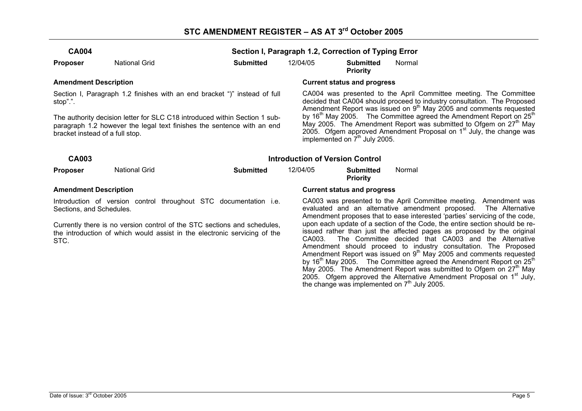| <b>CA004</b> |                      |                  | Section I, Paragraph 1.2, Correction of Typing Error |                              |        |  |  |  |
|--------------|----------------------|------------------|------------------------------------------------------|------------------------------|--------|--|--|--|
| Proposer     | <b>National Grid</b> | <b>Submitted</b> | 12/04/05                                             | Submitted<br><b>Priority</b> | Normal |  |  |  |

Section I, Paragraph 1.2 finishes with an end bracket ")" instead of full stop".".

The authority decision letter for SLC C18 introduced within Section 1 subparagraph 1.2 however the legal text finishes the sentence with an end bracket instead of a full stop.

#### **Amendment Description Current status and progress**

CA004 was presented to the April Committee meeting. The Committee decided that CA004 should proceed to industry consultation. The Proposed Amendment Report was issued on 9<sup>th</sup> May 2005 and comments requested by  $16<sup>th</sup>$  May 2005. The Committee agreed the Amendment Report on 25<sup>th</sup> May 2005. The Amendment Report was submitted to Ofgem on  $27<sup>th</sup>$  May 2005. Ofgem approved Amendment Proposal on 1<sup>st</sup> July, the change was implemented on  $7<sup>th</sup>$  July 2005.

| CA003                        |               | <b>Introduction of Version Control</b> |          |                                    |        |  |  |
|------------------------------|---------------|----------------------------------------|----------|------------------------------------|--------|--|--|
| <b>Proposer</b>              | National Grid | Submitted                              | 12/04/05 | Submitted<br><b>Priority</b>       | Normal |  |  |
| <b>Amendment Description</b> |               |                                        |          | <b>Current status and progress</b> |        |  |  |

Introduction of version control throughout STC documentation i.e. Sections, and Schedules.

Currently there is no version control of the STC sections and schedules, the introduction of which would assist in the electronic servicing of the STC.

CA003 was presented to the April Committee meeting. Amendment was evaluated and an alternative amendment proposed. The Alternative Amendment proposes that to ease interested 'parties' servicing of the code, upon each update of a section of the Code, the entire section should be reissued rather than just the affected pages as proposed by the original CA003. The Committee decided that CA003 and the Alternative Amendment should proceed to industry consultation. The Proposed Amendment Report was issued on  $9<sup>th</sup>$  May 2005 and comments requested by  $16<sup>th</sup>$  May 2005. The Committee agreed the Amendment Report on 25<sup>th</sup> May 2005. The Amendment Report was submitted to Ofgem on  $27<sup>th</sup>$  May 2005. Ofgem approved the Alternative Amendment Proposal on  $1<sup>st</sup>$  July, the change was implemented on  $7<sup>th</sup>$  July 2005.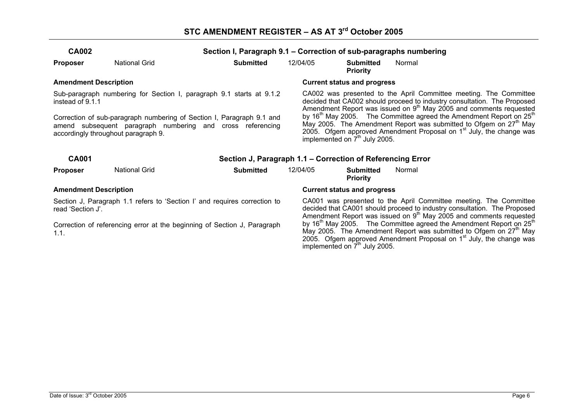| <b>CA002</b>                                                                                   |                                                                                                                                               | Section I, Paragraph 9.1 – Correction of sub-paragraphs numbering |                                                                                                                                                                                                                                                                                                    |                                     |                                                                                                                                                                                                                                                                                                                                                                                             |  |  |
|------------------------------------------------------------------------------------------------|-----------------------------------------------------------------------------------------------------------------------------------------------|-------------------------------------------------------------------|----------------------------------------------------------------------------------------------------------------------------------------------------------------------------------------------------------------------------------------------------------------------------------------------------|-------------------------------------|---------------------------------------------------------------------------------------------------------------------------------------------------------------------------------------------------------------------------------------------------------------------------------------------------------------------------------------------------------------------------------------------|--|--|
| <b>Proposer</b>                                                                                | <b>National Grid</b>                                                                                                                          | <b>Submitted</b>                                                  | 12/04/05                                                                                                                                                                                                                                                                                           | <b>Submitted</b><br><b>Priority</b> | Normal                                                                                                                                                                                                                                                                                                                                                                                      |  |  |
| <b>Amendment Description</b>                                                                   |                                                                                                                                               |                                                                   |                                                                                                                                                                                                                                                                                                    | <b>Current status and progress</b>  |                                                                                                                                                                                                                                                                                                                                                                                             |  |  |
| instead of 9.1.1                                                                               | Sub-paragraph numbering for Section I, paragraph 9.1 starts at 9.1.2<br>Correction of sub-paragraph numbering of Section I, Paragraph 9.1 and |                                                                   |                                                                                                                                                                                                                                                                                                    |                                     | CA002 was presented to the April Committee meeting. The Committee<br>decided that CA002 should proceed to industry consultation. The Proposed<br>Amendment Report was issued on 9 <sup>th</sup> May 2005 and comments requested<br>by 16 <sup>th</sup> May 2005. The Committee agreed the Amendment Report on $25th$<br>May 2005. The Amendment Report was submitted to Ofgem on $27th$ May |  |  |
|                                                                                                | amend subsequent paragraph numbering and cross referencing<br>accordingly throughout paragraph 9.                                             |                                                                   |                                                                                                                                                                                                                                                                                                    | implemented on $7th$ July 2005.     | 2005. Ofgem approved Amendment Proposal on $1st$ July, the change was                                                                                                                                                                                                                                                                                                                       |  |  |
| <b>CA001</b>                                                                                   |                                                                                                                                               | Section J, Paragraph 1.1 – Correction of Referencing Error        |                                                                                                                                                                                                                                                                                                    |                                     |                                                                                                                                                                                                                                                                                                                                                                                             |  |  |
| <b>Proposer</b>                                                                                | <b>National Grid</b>                                                                                                                          | <b>Submitted</b>                                                  | 12/04/05                                                                                                                                                                                                                                                                                           | <b>Submitted</b><br><b>Priority</b> | Normal                                                                                                                                                                                                                                                                                                                                                                                      |  |  |
| <b>Amendment Description</b>                                                                   |                                                                                                                                               |                                                                   | <b>Current status and progress</b>                                                                                                                                                                                                                                                                 |                                     |                                                                                                                                                                                                                                                                                                                                                                                             |  |  |
| Section J, Paragraph 1.1 refers to 'Section I' and requires correction to<br>read 'Section J'. |                                                                                                                                               |                                                                   | CA001 was presented to the April Committee meeting. The Committee<br>decided that CA001 should proceed to industry consultation. The Proposed<br>Amendment Report was issued on 9 <sup>th</sup> May 2005 and comments requested                                                                    |                                     |                                                                                                                                                                                                                                                                                                                                                                                             |  |  |
| 1.1.                                                                                           | Correction of referencing error at the beginning of Section J, Paragraph                                                                      |                                                                   | by 16 <sup>th</sup> May 2005. The Committee agreed the Amendment Report on $25th$<br>May 2005. The Amendment Report was submitted to Ofgem on 27 <sup>th</sup> May<br>2005. Ofgem approved Amendment Proposal on 1 <sup>st</sup> July, the change was<br>implemented on 7 <sup>th</sup> July 2005. |                                     |                                                                                                                                                                                                                                                                                                                                                                                             |  |  |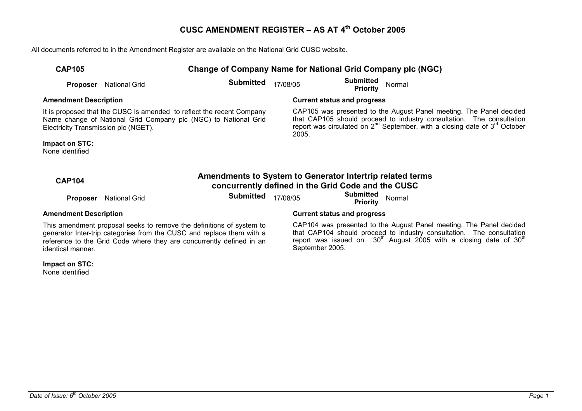All documents referred to in the Amendment Register are available on the National Grid CUSC website.

| <b>CAP105</b> |                               | Change of Company Name for National Grid Company plc (NGC) |  |                              |        |  |
|---------------|-------------------------------|------------------------------------------------------------|--|------------------------------|--------|--|
|               | <b>Proposer</b> National Grid | <b>Submitted</b> $17/08/05$                                |  | Submitted<br><b>Priority</b> | Normal |  |

**Amendment Description Current status and progress** 

It is proposed that the CUSC is amended to reflect the recent Company Name change of National Grid Company plc (NGC) to National Grid Electricity Transmission plc (NGET).

**Impact on STC:** 

None identified

| CAP105 was presented to the August Panel meeting. The Panel decided                  |
|--------------------------------------------------------------------------------------|
| that CAP105 should proceed to industry consultation. The consultation                |
| report was circulated on $2^{nd}$ September, with a closing date of $3^{rd}$ October |
| 2005.                                                                                |

| <b>CAP104</b>                                                        |                               | Amendments to System to Generator Intertrip related terms<br>concurrently defined in the Grid Code and the CUSC |          |                                                  |  |
|----------------------------------------------------------------------|-------------------------------|-----------------------------------------------------------------------------------------------------------------|----------|--------------------------------------------------|--|
|                                                                      | <b>Proposer</b> National Grid | <b>Submitted</b>                                                                                                | 17/08/05 | <b>Submitted</b><br><b>Priority</b> Normal       |  |
| <b>Amendment Description</b>                                         |                               |                                                                                                                 |          | <b>Current status and progress</b>               |  |
| This amondmant proposal socks to remove the definitions of quotam to |                               |                                                                                                                 |          | CAD104 was procepted to the August Dapel moeting |  |

This amendment proposal seeks to remove the definitions of system to generator Inter-trip categories from the CUSC and replace them with a reference to the Grid Code where they are concurrently defined in an identical manner.

**Impact on STC:** 

None identified

CAP104 was presented to the August Panel meeting. The Panel decided that CAP104 should proceed to industry consultation. The consultation report was issued on  $\,$  30<sup>th</sup> August 2005 with a closing date of 30<sup>th</sup> September 2005.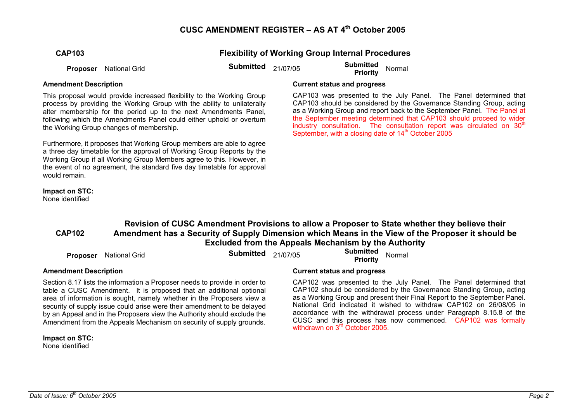**Flexibility of Working Group Internal Procedures** 

**Proposer** National Grid **Submitted** 21/07/05 **Submitted Priority** Normal

This proposal would provide increased flexibility to the Working Group process by providing the Working Group with the ability to unilaterally alter membership for the period up to the next Amendments Panel, following which the Amendments Panel could either uphold or overturn the Working Group changes of membership.

Furthermore, it proposes that Working Group members are able to agree a three day timetable for the approval of Working Group Reports by the Working Group if all Working Group Members agree to this. However, in the event of no agreement, the standard five day timetable for approval would remain

## **Impact on STC:**

None identified

### **Amendment Description Current status and progress**

CAP103 was presented to the July Panel. The Panel determined that CAP103 should be considered by the Governance Standing Group, acting as a Working Group and report back to the September Panel. The Panel at the September meeting determined that CAP103 should proceed to wider industry consultation. The consultation report was circulated on  $30<sup>th</sup>$ September, with a closing date of  $14<sup>th</sup>$  October 2005

#### **CAP102 Revision of CUSC Amendment Provisions to allow a Proposer to State whether they believe their Amendment has a Security of Supply Dimension which Means in the View of the Proposer it should be Excluded from the Appeals Mechanism by the Authority**

| <b>Proposer</b> National Grid | <b>Submitted</b> 21/07/05 | <b>Submitted</b><br><b>Priority</b> | Normal |  |
|-------------------------------|---------------------------|-------------------------------------|--------|--|
|                               |                           |                                     |        |  |

Section 8.17 lists the information a Proposer needs to provide in order to table a CUSC Amendment. It is proposed that an additional optional area of information is sought, namely whether in the Proposers view a security of supply issue could arise were their amendment to be delayed by an Appeal and in the Proposers view the Authority should exclude the Amendment from the Appeals Mechanism on security of supply grounds.

**Impact on STC:**  None identified

### **Amendment Description Current status and progress**

CAP102 was presented to the July Panel. The Panel determined that CAP102 should be considered by the Governance Standing Group, acting as a Working Group and present their Final Report to the September Panel. National Grid indicated it wished to withdraw CAP102 on 26/08/05 in accordance with the withdrawal process under Paragraph 8.15.8 of the CUSC and this process has now commenced. CAP102 was formally withdrawn on 3<sup>rd</sup> October 2005.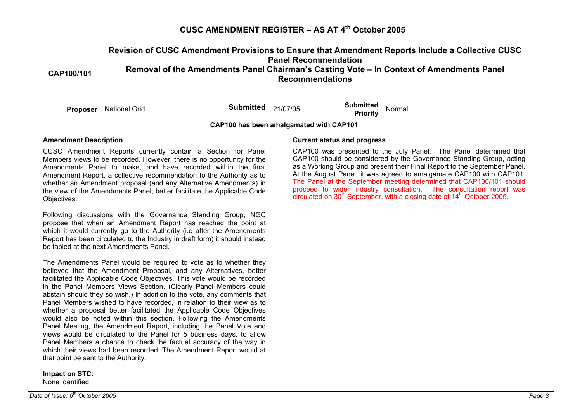# **CUSC AMENDMENT REGISTER – AS AT 4th October 2005**

#### **CAP100/101 Revision of CUSC Amendment Provisions to Ensure that Amendment Reports Include a Collective CUSC Panel Recommendation Removal of the Amendments Panel Chairman's Casting Vote – In Context of Amendments Panel Recommendations**

**Proposer** National Grid **Submitted** 21/07/05 **Submitted Priority** Normal

**CAP100 has been amalgamated with CAP101** 

CUSC Amendment Reports currently contain a Section for Panel Members views to be recorded. However, there is no opportunity for the Amendments Panel to make, and have recorded within the final Amendment Report, a collective recommendation to the Authority as to whether an Amendment proposal (and any Alternative Amendments) in the view of the Amendments Panel, better facilitate the Applicable Code Objectives.

Following discussions with the Governance Standing Group, NGC propose that when an Amendment Report has reached the point at which it would currently go to the Authority (i.e after the Amendments Report has been circulated to the Industry in draft form) it should instead be tabled at the next Amendments Panel.

The Amendments Panel would be required to vote as to whether they believed that the Amendment Proposal, and any Alternatives, better facilitated the Applicable Code Objectives. This vote would be recorded in the Panel Members Views Section. (Clearly Panel Members could abstain should they so wish.) In addition to the vote, any comments that Panel Members wished to have recorded, in relation to their view as to whether a proposal better facilitated the Applicable Code Objectives would also be noted within this section. Following the Amendments Panel Meeting, the Amendment Report, including the Panel Vote and views would be circulated to the Panel for 5 business days, to allow Panel Members a chance to check the factual accuracy of the way in which their views had been recorded. The Amendment Report would at that point be sent to the Authority.

**Impact on STC:**  None identified

#### **Amendment Description Current status and progress**

CAP100 was presented to the July Panel. The Panel determined that CAP100 should be considered by the Governance Standing Group, acting as a Working Group and present their Final Report to the September Panel. At the August Panel, it was agreed to amalgamate CAP100 with CAP101. The Panel at the September meeting determined that CAP100/101 should proceed to wider industry consultation. The consultation report was circulated on  $30<sup>th</sup>$  September, with a closing date of  $14<sup>th</sup>$  October 2005.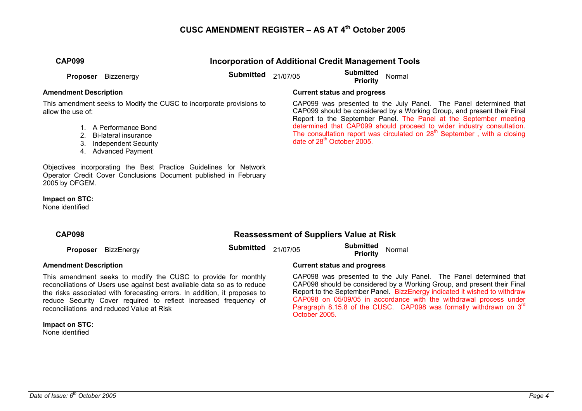**Incorporation of Additional Credit Management Tools** 

**Proposer** Bizzenergy **Submitted** 21/07/05 **Submitted Proposer** Bizzenergy **Submitted** 21/07/05 **Submitted** Priority

This amendment seeks to Modify the CUSC to incorporate provisions to allow the use of:

- 1. A Performance Bond
- 2. Bi-lateral insurance
- 3. Independent Security
- 4. Advanced Payment

Objectives incorporating the Best Practice Guidelines for Network Operator Credit Cover Conclusions Document published in February 2005 by OFGEM.

**Impact on STC:** 

None identified

### **Amendment Description Current status and progress**

CAP099 was presented to the July Panel. The Panel determined that CAP099 should be considered by a Working Group, and present their Final Report to the September Panel. The Panel at the September meeting determined that CAP099 should proceed to wider industry consultation. The consultation report was circulated on  $28<sup>th</sup>$  September , with a closing date of 28<sup>th</sup> October 2005.

| <b>CAP098</b> |  |  |
|---------------|--|--|
|               |  |  |

### **Reassessment of Suppliers Value at Risk**

**Proposer** BizzEnergy **Submitted** 21/07/05 **Submitted Proposer** BizzEnergy **Submitted** 21/07/05 **Submitted** Priority

This amendment seeks to modify the CUSC to provide for monthly reconciliations of Users use against best available data so as to reduce the risks associated with forecasting errors. In addition, it proposes to reduce Security Cover required to reflect increased frequency of reconciliations and reduced Value at Risk

**Impact on STC:**  None identified

### **Amendment Description Current status and progress**

CAP098 was presented to the July Panel. The Panel determined that CAP098 should be considered by a Working Group, and present their Final Report to the September Panel. BizzEnergy indicated it wished to withdraw CAP098 on 05/09/05 in accordance with the withdrawal process under Paragraph 8.15.8 of the CUSC. CAP098 was formally withdrawn on 3<sup>rd</sup> October 2005.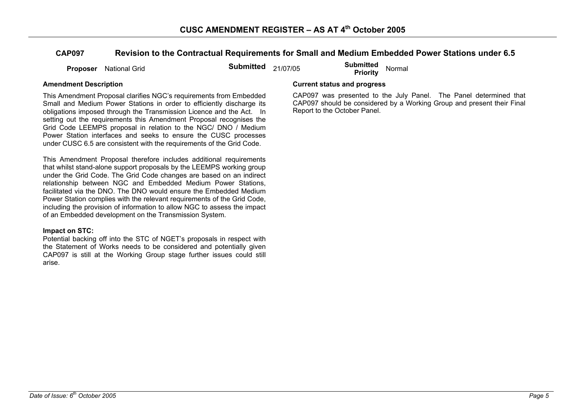### **CAP097 Revision to the Contractual Requirements for Small and Medium Embedded Power Stations under 6.5**

**Proposer** National Grid **Submitted** 21/07/05 **Submitted Proposer** National Grid

This Amendment Proposal clarifies NGC's requirements from Embedded Small and Medium Power Stations in order to efficiently discharge its obligations imposed through the Transmission Licence and the Act. In setting out the requirements this Amendment Proposal recognises the Grid Code LEEMPS proposal in relation to the NGC/ DNO / Medium Power Station interfaces and seeks to ensure the CUSC processes under CUSC 6.5 are consistent with the requirements of the Grid Code.

This Amendment Proposal therefore includes additional requirements that whilst stand-alone support proposals by the LEEMPS working group under the Grid Code. The Grid Code changes are based on an indirect relationship between NGC and Embedded Medium Power Stations, facilitated via the DNO. The DNO would ensure the Embedded Medium Power Station complies with the relevant requirements of the Grid Code, including the provision of information to allow NGC to assess the impact of an Embedded development on the Transmission System.

#### **Impact on STC:**

Potential backing off into the STC of NGET's proposals in respect with the Statement of Works needs to be considered and potentially given CAP097 is still at the Working Group stage further issues could still arise.

### **Amendment Description Current status and progress**

CAP097 was presented to the July Panel. The Panel determined that CAP097 should be considered by a Working Group and present their Final Report to the October Panel.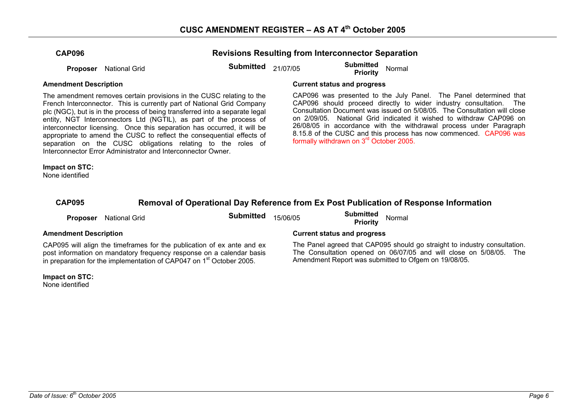**Revisions Resulting from Interconnector Separation** 

**Proposer** National Grid **Submitted** 21/07/05 **Submitted Proposer** National Grid

The amendment removes certain provisions in the CUSC relating to the French Interconnector. This is currently part of National Grid Company plc (NGC), but is in the process of being transferred into a separate legal entity, NGT Interconnectors Ltd (NGTIL), as part of the process of interconnector licensing. Once this separation has occurred, it will be appropriate to amend the CUSC to reflect the consequential effects of separation on the CUSC obligations relating to the roles of Interconnector Error Administrator and Interconnector Owner.

### **Amendment Description Current status and progress**

CAP096 was presented to the July Panel. The Panel determined that CAP096 should proceed directly to wider industry consultation. The Consultation Document was issued on 5/08/05. The Consultation will close on 2/09/05. National Grid indicated it wished to withdraw CAP096 on 26/08/05 in accordance with the withdrawal process under Paragraph 8.15.8 of the CUSC and this process has now commenced. CAP096 was formally withdrawn on 3rd October 2005.

#### **Impact on STC:**

None identified

### **CAP095 Removal of Operational Day Reference from Ex Post Publication of Response Information**

**Proposer** National Grid **Submitted** 15/06/05 **Submitted Priority** Normal

CAP095 will align the timeframes for the publication of ex ante and ex post information on mandatory frequency response on a calendar basis in preparation for the implementation of CAP047 on 1<sup>st</sup> October 2005.

**Impact on STC:**  None identified

### **Amendment Description Current status and progress**

The Panel agreed that CAP095 should go straight to industry consultation. The Consultation opened on 06/07/05 and will close on 5/08/05. The Amendment Report was submitted to Ofgem on 19/08/05.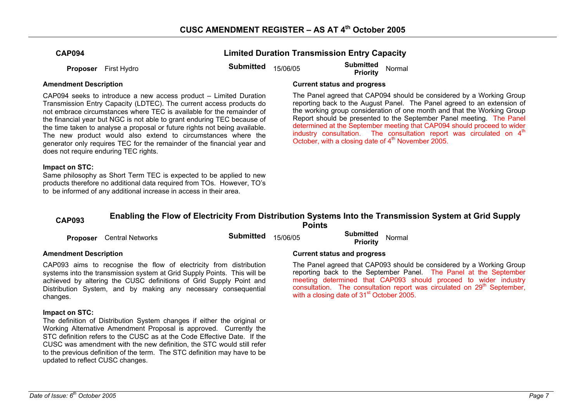| <b>CAP094</b> |  |  |
|---------------|--|--|
|---------------|--|--|

**Proposer** First Hydro **Submitted** 15/06/05 **Submitted Proposer** First Hydro **Submitted Submitted** 15/06/05 **Priority** 

**Limited Duration Transmission Entry Capacity** 

CAP094 seeks to introduce a new access product – Limited Duration Transmission Entry Capacity (LDTEC). The current access products do not embrace circumstances where TEC is available for the remainder of the financial year but NGC is not able to grant enduring TEC because of the time taken to analyse a proposal or future rights not being available. The new product would also extend to circumstances where the generator only requires TEC for the remainder of the financial year and does not require enduring TEC rights.

### **Impact on STC:**

Same philosophy as Short Term TEC is expected to be applied to new products therefore no additional data required from TOs. However, TO's to be informed of any additional increase in access in their area.

### **Amendment Description Current status and progress**

The Panel agreed that CAP094 should be considered by a Working Group reporting back to the August Panel. The Panel agreed to an extension of the working group consideration of one month and that the Working Group Report should be presented to the September Panel meeting. The Panel determined at the September meeting that CAP094 should proceed to wider industry consultation. The consultation report was circulated on  $4<sup>th</sup>$ October, with a closing date of  $4<sup>th</sup>$  November 2005.

# **CAP093 Enabling the Flow of Electricity From Distribution Systems Into the Transmission System at Grid Supply Points**

| <b>Proposer</b> Central Networks | <b>Submitted</b> $15/06/05$ | <b>Submitted</b> Normal<br><b>Priority</b> |
|----------------------------------|-----------------------------|--------------------------------------------|
| Amendment Description            |                             | <b>Current status and progress</b>         |

CAP093 aims to recognise the flow of electricity from distribution systems into the transmission system at Grid Supply Points. This will be achieved by altering the CUSC definitions of Grid Supply Point and Distribution System, and by making any necessary consequential changes.

### **Impact on STC:**

The definition of Distribution System changes if either the original or Working Alternative Amendment Proposal is approved. Currently the STC definition refers to the CUSC as at the Code Effective Date. If the CUSC was amendment with the new definition, the STC would still refer to the previous definition of the term. The STC definition may have to be updated to reflect CUSC changes.

### The Panel agreed that CAP093 should be considered by a Working Group reporting back to the September Panel. The Panel at the September meeting determined that CAP093 should proceed to wider industry consultation. The consultation report was circulated on 29<sup>th</sup> September, with a closing date of 31<sup>st</sup> October 2005.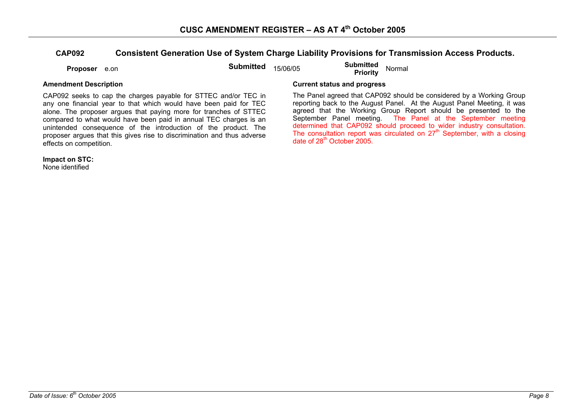### **CAP092 Consistent Generation Use of System Charge Liability Provisions for Transmission Access Products.**

**Proposer** e.on **Submitted** 15/06/05 **Submitted Priority** Normal

CAP092 seeks to cap the charges payable for STTEC and/or TEC in any one financial year to that which would have been paid for TEC alone. The proposer argues that paying more for tranches of STTEC compared to what would have been paid in annual TEC charges is an unintended consequence of the introduction of the product. The proposer argues that this gives rise to discrimination and thus adverse effects on competition.

**Impact on STC:** 

None identified

### **Amendment Description Current status and progress**

The Panel agreed that CAP092 should be considered by a Working Group reporting back to the August Panel. At the August Panel Meeting, it was agreed that the Working Group Report should be presented to the September Panel meeting. The Panel at the September meeting determined that CAP092 should proceed to wider industry consultation. The consultation report was circulated on  $27<sup>th</sup>$  September, with a closing date of 28th October 2005.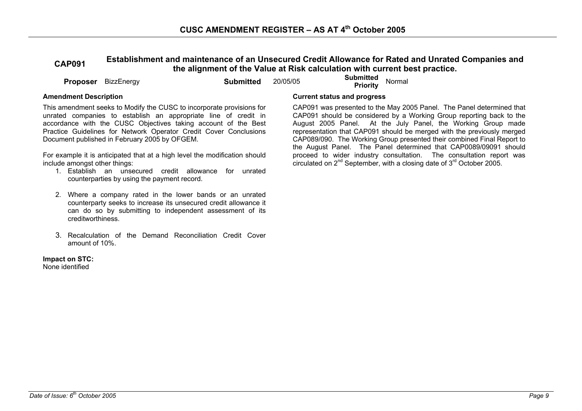# **CAP091 Establishment and maintenance of an Unsecured Credit Allowance for Rated and Unrated Companies and the alignment of the Value at Risk calculation with current best practice.**

**Proposer** BizzEnergy **Submitted 20/05/05 <b>Submitted Proposer** BizzEnergy **Submitted** 20/05/05 **Submitted** Priority

This amendment seeks to Modify the CUSC to incorporate provisions for unrated companies to establish an appropriate line of credit in accordance with the CUSC Objectives taking account of the Best Practice Guidelines for Network Operator Credit Cover Conclusions Document published in February 2005 by OFGEM.

For example it is anticipated that at a high level the modification should include amongst other things:

- 1. Establish an unsecured credit allowance for unrated counterparties by using the payment record.
- 2. Where a company rated in the lower bands or an unrated counterparty seeks to increase its unsecured credit allowance it can do so by submitting to independent assessment of its creditworthiness.
- 3. Recalculation of the Demand Reconciliation Credit Cover amount of 10%.

#### **Impact on STC:**

None identified

### **Amendment Description Current status and progress**

 CAP091 was presented to the May 2005 Panel. The Panel determined that CAP091 should be considered by a Working Group reporting back to the August 2005 Panel. At the July Panel, the Working Group made representation that CAP091 should be merged with the previously merged CAP089/090. The Working Group presented their combined Final Report to the August Panel. The Panel determined that CAP0089/09091 should proceed to wider industry consultation. The consultation report was circulated on  $2^{nd}$  September, with a closing date of  $3^{rd}$  October 2005.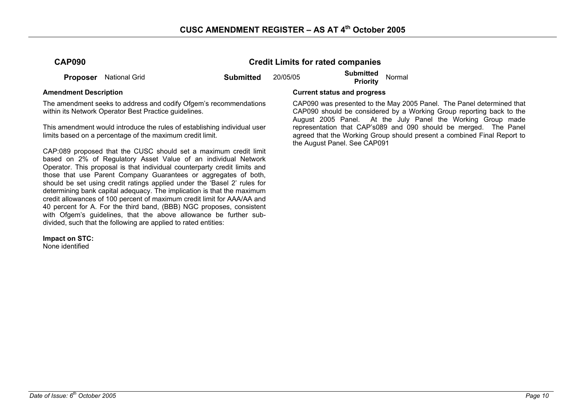### **CAP090 Credit Limits for rated companies**

**Proposer** National Grid **Submitted** 20/05/05 **Submitted Priority** Normal

The amendment seeks to address and codify Ofgem's recommendations within its Network Operator Best Practice quidelines.

This amendment would introduce the rules of establishing individual user limits based on a percentage of the maximum credit limit.

CAP:089 proposed that the CUSC should set a maximum credit limit based on 2% of Regulatory Asset Value of an individual Network Operator. This proposal is that individual counterparty credit limits and those that use Parent Company Guarantees or aggregates of both, should be set using credit ratings applied under the 'Basel 2' rules for determining bank capital adequacy. The implication is that the maximum credit allowances of 100 percent of maximum credit limit for AAA/AA and 40 percent for A. For the third band, (BBB) NGC proposes, consistent with Ofgem's guidelines, that the above allowance be further subdivided, such that the following are applied to rated entities:

**Impact on STC:** 

None identified

#### **Amendment Description Current status and progress**

 CAP090 was presented to the May 2005 Panel. The Panel determined that CAP090 should be considered by a Working Group reporting back to the August 2005 Panel. At the July Panel the Working Group made representation that CAP's089 and 090 should be merged. The Panel agreed that the Working Group should present a combined Final Report to the August Panel. See CAP091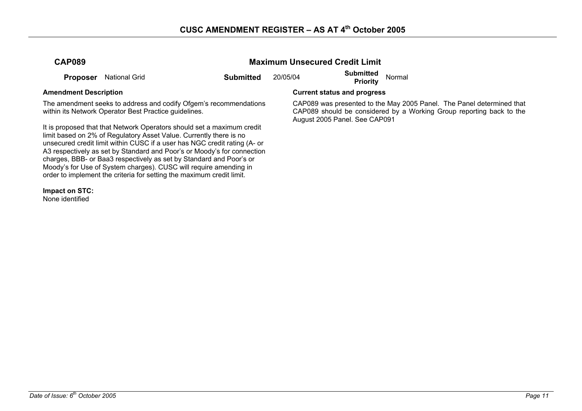### **Maximum Unsecured Credit Limit**

**Proposer** National Grid **Submitted** 20/05/04 **Submitted Priority** Normal

The amendment seeks to address and codify Ofgem's recommendations within its Network Operator Best Practice guidelines.

It is proposed that that Network Operators should set a maximum credit limit based on 2% of Regulatory Asset Value. Currently there is no unsecured credit limit within CUSC if a user has NGC credit rating (A- or A3 respectively as set by Standard and Poor's or Moody's for connection charges, BBB- or Baa3 respectively as set by Standard and Poor's or Moody's for Use of System charges). CUSC will require amending in order to implement the criteria for setting the maximum credit limit.

**Impact on STC:** 

None identified

### **Amendment Description Current status and progress**

 CAP089 was presented to the May 2005 Panel. The Panel determined that CAP089 should be considered by a Working Group reporting back to the August 2005 Panel. See CAP091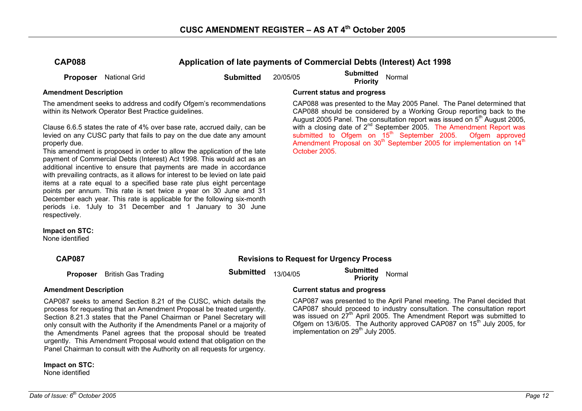**CAP088 Application of late payments of Commercial Debts (Interest) Act 1998** 

**Proposer** National Grid **Submitted** 20/05/05 **Submitted Priority** Normal

The amendment seeks to address and codify Ofgem's recommendations within its Network Operator Best Practice quidelines.

Clause 6.6.5 states the rate of 4% over base rate, accrued daily, can be levied on any CUSC party that fails to pay on the due date any amount properly due.

This amendment is proposed in order to allow the application of the late payment of Commercial Debts (Interest) Act 1998. This would act as an additional incentive to ensure that payments are made in accordance with prevailing contracts, as it allows for interest to be levied on late paid items at a rate equal to a specified base rate plus eight percentage points per annum. This rate is set twice a year on 30 June and 31 December each year. This rate is applicable for the following six-month periods i.e. 1July to 31 December and 1 January to 30 June respectively.

**Impact on STC:** 

None identified

### **Amendment Description Current status and progress**

 CAP088 was presented to the May 2005 Panel. The Panel determined that CAP088 should be considered by a Working Group reporting back to the August 2005 Panel. The consultation report was issued on 5<sup>th</sup> August 2005, with a closing date of  $2^{nd}$  September 2005. The Amendment Report was submitted to Ofgem on  $15^{th}$  September 2005. Ofgem approved submitted to Ofgem on 15<sup>th</sup> September 2005. Amendment Proposal on  $30<sup>th</sup>$  September 2005 for implementation on  $14<sup>th</sup>$ October 2005.

## **CAP087 Revisions to Request for Urgency Process**

**Proposer** British Gas Trading **Submitted** 13/04/05 **Submitted Proposer** British Gas Trading

CAP087 seeks to amend Section 8.21 of the CUSC, which details the process for requesting that an Amendment Proposal be treated urgently. Section 8.21.3 states that the Panel Chairman or Panel Secretary will only consult with the Authority if the Amendments Panel or a majority of the Amendments Panel agrees that the proposal should be treated urgently. This Amendment Proposal would extend that obligation on the Panel Chairman to consult with the Authority on all requests for urgency.

**Impact on STC:**  None identified

### **Amendment Description Current status and progress**

CAP087 was presented to the April Panel meeting. The Panel decided that CAP087 should proceed to industry consultation. The consultation report was issued on 27<sup>th</sup> April 2005. The Amendment Report was submitted to Ofgem on 13/6/05. The Authority approved CAP087 on 15<sup>th</sup> July 2005, for implementation on  $29<sup>th</sup>$  July 2005.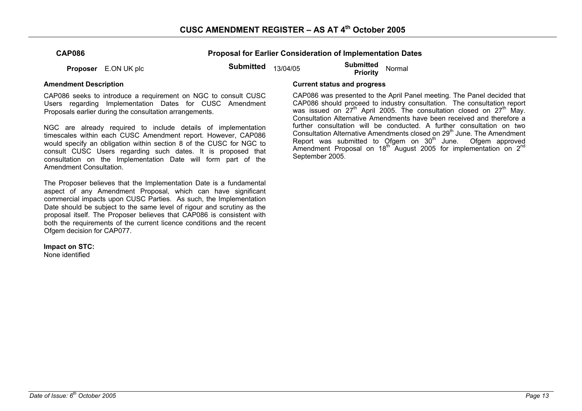| <b>CAP086</b> |  |
|---------------|--|
|---------------|--|

**Proposal for Earlier Consideration of Implementation Dates** 

**Proposer** E.ON UK plc **Submitted** 13/04/05 **Submitted Proposer** E.ON UK plc

CAP086 seeks to introduce a requirement on NGC to consult CUSC Users regarding Implementation Dates for CUSC Amendment Proposals earlier during the consultation arrangements.

NGC are already required to include details of implementation timescales within each CUSC Amendment report. However, CAP086 would specify an obligation within section 8 of the CUSC for NGC to consult CUSC Users regarding such dates. It is proposed that consultation on the Implementation Date will form part of the Amendment Consultation.

The Proposer believes that the Implementation Date is a fundamental aspect of any Amendment Proposal, which can have significant commercial impacts upon CUSC Parties. As such, the Implementation Date should be subject to the same level of rigour and scrutiny as the proposal itself. The Proposer believes that CAP086 is consistent with both the requirements of the current licence conditions and the recent Ofgem decision for CAP077.

**Impact on STC:** 

None identified

### **Amendment Description Current status and progress**

CAP086 was presented to the April Panel meeting. The Panel decided that CAP086 should proceed to industry consultation. The consultation report was issued on  $27<sup>th</sup>$  April 2005. The consultation closed on  $27<sup>th</sup>$  May. Consultation Alternative Amendments have been received and therefore a further consultation will be conducted. A further consultation on two Consultation Alternative Amendments closed on 29<sup>th</sup> June. The Amendment Report was submitted to Ofgem on  $30<sup>th</sup>$  June. Ofgem approved Amendment Proposal on  $18<sup>th</sup>$  August 2005 for implementation on  $2<sup>nd</sup>$ September 2005.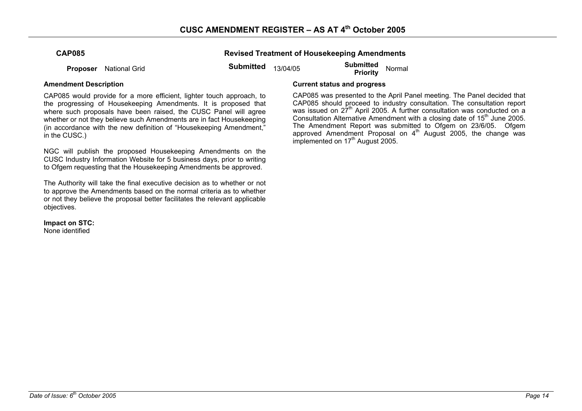**Proposer** National Grid **Submitted** 13/04/05 **Submitted Priority** Normal

**Revised Treatment of Housekeeping Amendments** 

CAP085 would provide for a more efficient, lighter touch approach, to the progressing of Housekeeping Amendments. It is proposed that where such proposals have been raised, the CUSC Panel will agree whether or not they believe such Amendments are in fact Housekeeping (in accordance with the new definition of "Housekeeping Amendment," in the CUSC.)

NGC will publish the proposed Housekeeping Amendments on the CUSC Industry Information Website for 5 business days, prior to writing to Ofgem requesting that the Housekeeping Amendments be approved.

The Authority will take the final executive decision as to whether or not to approve the Amendments based on the normal criteria as to whether or not they believe the proposal better facilitates the relevant applicable objectives.

**Impact on STC:**  None identified

### **Amendment Description Current status and progress**

CAP085 was presented to the April Panel meeting. The Panel decided that CAP085 should proceed to industry consultation. The consultation report was issued on  $27<sup>th</sup>$  April 2005. A further consultation was conducted on a Consultation Alternative Amendment with a closing date of 15<sup>th</sup> June 2005. The Amendment Report was submitted to Ofgem on 23/6/05. Ofgem approved Amendment Proposal on  $4<sup>th</sup>$  August 2005, the change was implemented on 17<sup>th</sup> August 2005.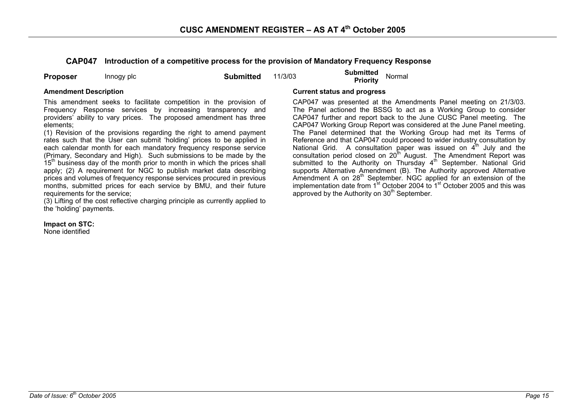**CAP047 Introduction of a competitive process for the provision of Mandatory Frequency Response** 

**Proposer** Innogy plc **Submitted** 11/3/03 **Submitted Priority** Normal

This amendment seeks to facilitate competition in the provision of Frequency Response services by increasing transparency and providers' ability to vary prices. The proposed amendment has three elements;

(1) Revision of the provisions regarding the right to amend payment rates such that the User can submit 'holding' prices to be applied in each calendar month for each mandatory frequency response service (Primary, Secondary and High). Such submissions to be made by the  $15<sup>th</sup>$  business day of the month prior to month in which the prices shall apply; (2) A requirement for NGC to publish market data describing prices and volumes of frequency response services procured in previous months, submitted prices for each service by BMU, and their future requirements for the service;

(3) Lifting of the cost reflective charging principle as currently applied to the 'holding' payments.

**Impact on STC:** 

None identified

#### **Amendment Description Current status and progress**

CAP047 was presented at the Amendments Panel meeting on 21/3/03. The Panel actioned the BSSG to act as a Working Group to consider CAP047 further and report back to the June CUSC Panel meeting. The CAP047 Working Group Report was considered at the June Panel meeting. The Panel determined that the Working Group had met its Terms of Reference and that CAP047 could proceed to wider industry consultation by National Grid. A consultation paper was issued on  $4<sup>th</sup>$  July and the consultation period closed on 20<sup>th</sup> August. The Amendment Report was submitted to the Authority on Thursday  $4<sup>th</sup>$  September. National Grid supports Alternative Amendment (B). The Authority approved Alternative Amendment A on 28<sup>th</sup> September. NGC applied for an extension of the implementation date from  $1<sup>st</sup>$  October 2004 to  $1<sup>st</sup>$  October 2005 and this was approved by the Authority on 30<sup>th</sup> September.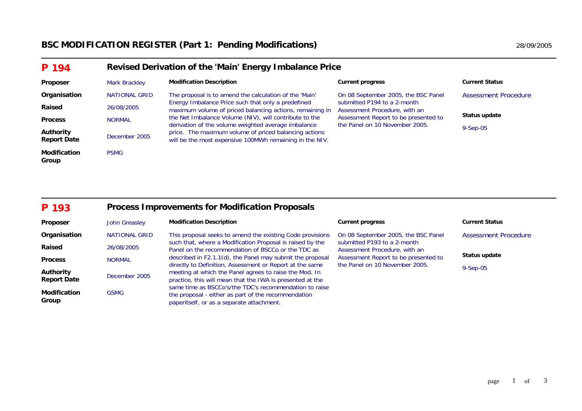# **BSC MODIFICATION REGISTER (Part 1: Pending Modifications)** 28/09/2005

| P 194                           | Revised Derivation of the 'Main' Energy Imbalance Price |                                                                                                                                                                         |                                                                                                                                        |                             |  |
|---------------------------------|---------------------------------------------------------|-------------------------------------------------------------------------------------------------------------------------------------------------------------------------|----------------------------------------------------------------------------------------------------------------------------------------|-----------------------------|--|
| Proposer                        | <b>Mark Brackley</b>                                    | <b>Modification Description</b>                                                                                                                                         | <b>Current progress</b>                                                                                                                | <b>Current Status</b>       |  |
| Organisation                    | <b>NATIONAL GRID</b>                                    | The proposal is to amend the calculation of the 'Main'                                                                                                                  | On 08 September 2005, the BSC Panel                                                                                                    | <b>Assessment Procedure</b> |  |
| Raised                          | 26/08/2005                                              | Energy Imbalance Price such that only a predefined<br>maximum volume of priced balancing actions, remaining in                                                          | submitted P194 to a 2-month<br>Assessment Procedure, with an<br>Assessment Report to be presented to<br>the Panel on 10 November 2005. |                             |  |
| <b>Process</b>                  | <b>NORMAL</b>                                           | the Net Imbalance Volume (NIV), will contribute to the                                                                                                                  |                                                                                                                                        | Status update               |  |
| Authority<br><b>Report Date</b> | December 2005                                           | derivation of the volume weighted average imbalance<br>price. The maximum volume of priced balancing actions<br>will be the most expensive 100MWh remaining in the NIV. |                                                                                                                                        | $9-Sep-05$                  |  |
| <b>Modification</b><br>Group    | <b>PSMG</b>                                             |                                                                                                                                                                         |                                                                                                                                        |                             |  |

#### **P 193Process Improvements for Modification Proposals**

| Proposer                        | John Greasley        | <b>Modification Description</b>                                                                                                                                                                                                              | <b>Current progress</b>                                                | <b>Current Status</b>       |
|---------------------------------|----------------------|----------------------------------------------------------------------------------------------------------------------------------------------------------------------------------------------------------------------------------------------|------------------------------------------------------------------------|-----------------------------|
| Organisation                    | <b>NATIONAL GRID</b> | This proposal seeks to amend the existing Code provisions                                                                                                                                                                                    | On 08 September 2005, the BSC Panel                                    | <b>Assessment Procedure</b> |
| Raised                          | 26/08/2005           | such that, where a Modification Proposal is raised by the<br>Panel on the recommendation of BSCCo or the TDC as                                                                                                                              | submitted P193 to a 2-month<br>Assessment Procedure, with an           |                             |
| <b>Process</b>                  | <b>NORMAL</b>        | described in F2.1.1(d), the Panel may submit the proposal<br>directly to Definition, Assessment or Report at the same<br>meeting at which the Panel agrees to raise the Mod. In<br>practice, this will mean that the IWA is presented at the | Assessment Report to be presented to<br>the Panel on 10 November 2005. | Status update               |
| Authority<br><b>Report Date</b> | December 2005        |                                                                                                                                                                                                                                              |                                                                        | $9-Sep-05$                  |
| <b>Modification</b><br>Group    | <b>GSMG</b>          | same time as BSCCo's/the TDC's recommendation to raise<br>the proposal - either as part of the recommendation<br>paperitself, or as a separate attachment.                                                                                   |                                                                        |                             |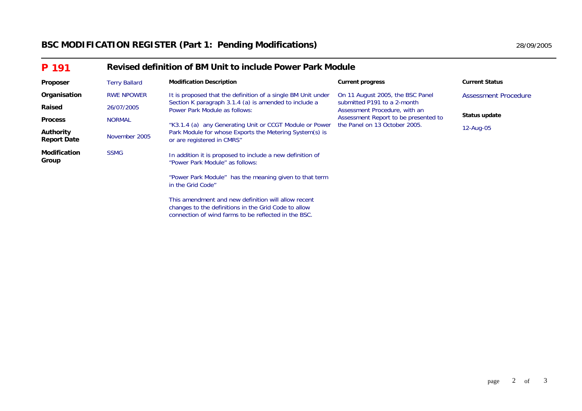# **BSC MODIFICATION REGISTER (Part 1: Pending Modifications)** 28/09/2005

| P 191                                  |                      | Revised definition of BM Unit to include Power Park Module                                                  |                                                                                                  |                       |  |  |
|----------------------------------------|----------------------|-------------------------------------------------------------------------------------------------------------|--------------------------------------------------------------------------------------------------|-----------------------|--|--|
| <b>Proposer</b>                        | <b>Terry Ballard</b> | <b>Modification Description</b>                                                                             | <b>Current progress</b>                                                                          | <b>Current Status</b> |  |  |
| Organisation                           | <b>RWE NPOWER</b>    | It is proposed that the definition of a single BM Unit under                                                | On 11 August 2005, the BSC Panel<br>submitted P191 to a 2-month<br>Assessment Procedure, with an | Assessment Procedure  |  |  |
| Raised                                 | 26/07/2005           | Section K paragraph 3.1.4 (a) is amended to include a<br>Power Park Module as follows:                      |                                                                                                  | Status update         |  |  |
| <b>Process</b>                         | <b>NORMAL</b>        | "K3.1.4 (a) any Generating Unit or CCGT Module or Power                                                     | Assessment Report to be presented to<br>the Panel on 13 October 2005.                            |                       |  |  |
| <b>Authority</b><br><b>Report Date</b> | November 2005        | Park Module for whose Exports the Metering System(s) is<br>or are registered in CMRS"                       |                                                                                                  | 12-Aug-05             |  |  |
| <b>Modification</b><br>Group           | <b>SSMG</b>          | In addition it is proposed to include a new definition of<br>"Power Park Module" as follows:                |                                                                                                  |                       |  |  |
|                                        |                      | "Power Park Module" has the meaning given to that term<br>in the Grid Code"                                 |                                                                                                  |                       |  |  |
|                                        |                      | This amendment and new definition will allow recent<br>changes to the definitions in the Grid Code to allow |                                                                                                  |                       |  |  |

changes to the definitions in the Grid Code to allow connection of wind farms to be reflected in the BSC.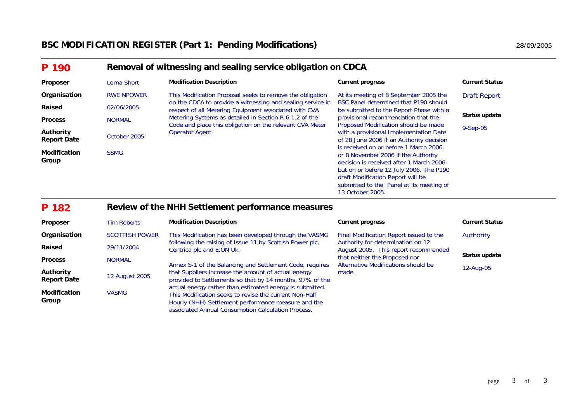| P 190                           |                   | Removal of witnessing and sealing service obligation on CDCA                                                        |                                                                                                                                                                                                                                                                          |                       |  |  |
|---------------------------------|-------------------|---------------------------------------------------------------------------------------------------------------------|--------------------------------------------------------------------------------------------------------------------------------------------------------------------------------------------------------------------------------------------------------------------------|-----------------------|--|--|
| Proposer                        | Lorna Short       | <b>Modification Description</b>                                                                                     | <b>Current progress</b>                                                                                                                                                                                                                                                  | <b>Current Status</b> |  |  |
| Organisation                    | <b>RWE NPOWER</b> | This Modification Proposal seeks to remove the obligation                                                           | At its meeting of 8 September 2005 the                                                                                                                                                                                                                                   | <b>Draft Report</b>   |  |  |
| Raised                          | 02/06/2005        | on the CDCA to provide a witnessing and sealing service in<br>respect of all Metering Equipment associated with CVA | BSC Panel determined that P190 should<br>be submitted to the Report Phase with a<br>provisional recommendation that the<br>Proposed Modification should be made<br>with a provisional Implementation Date<br>of 28 June 2006 if an Authority decision                    |                       |  |  |
| <b>Process</b>                  | <b>NORMAL</b>     | Metering Systems as detailed in Section R 6.1.2 of the                                                              |                                                                                                                                                                                                                                                                          | Status update         |  |  |
| Authority<br><b>Report Date</b> | October 2005      | Code and place this obligation on the relevant CVA Meter<br>Operator Agent.                                         |                                                                                                                                                                                                                                                                          | 9-Sep-05              |  |  |
| <b>Modification</b><br>Group    | <b>SSMG</b>       |                                                                                                                     | is received on or before 1 March 2006,<br>or 8 November 2006 if the Authority<br>decision is received after 1 March 2006<br>but on or before 12 July 2006. The P190<br>draft Modification Report will be<br>submitted to the Panel at its meeting of<br>13 October 2005. |                       |  |  |

#### **P 190Removal of witnessing and sealing service obligation on CDCA**

#### **P 182Review of the NHH Settlement performance measures**

| <b>Proposer</b>                        | <b>Tim Roberts</b>    | <b>Modification Description</b>                                                                                                                                             | <b>Current progress</b>                                                                                                                                                                               | <b>Current Status</b> |
|----------------------------------------|-----------------------|-----------------------------------------------------------------------------------------------------------------------------------------------------------------------------|-------------------------------------------------------------------------------------------------------------------------------------------------------------------------------------------------------|-----------------------|
| Organisation                           | <b>SCOTTISH POWER</b> | This Modification has been developed through the VASMG                                                                                                                      | Final Modification Report issued to the<br>Authority for determination on 12<br>August 2005. This report recommended<br>that neither the Proposed nor<br>Alternative Modifications should be<br>made. | Authority             |
| Raised                                 | 29/11/2004            | following the raising of Issue 11 by Scottish Power plc,<br>Centrica plc and E.ON Uk.                                                                                       |                                                                                                                                                                                                       | Status update         |
| <b>Process</b>                         | <b>NORMAL</b>         |                                                                                                                                                                             |                                                                                                                                                                                                       |                       |
| <b>Authority</b><br><b>Report Date</b> | 12 August 2005        | Annex S-1 of the Balancing and Settlement Code, requires<br>that Suppliers increase the amount of actual energy<br>provided to Settlements so that by 14 months, 97% of the |                                                                                                                                                                                                       | 12-Aug-05             |
| <b>Modification</b><br>Group           | <b>VASMG</b>          | actual energy rather than estimated energy is submitted.<br>This Modification seeks to revise the current Non-Half<br>Hourly (NHH) Settlement performance measure and the   |                                                                                                                                                                                                       |                       |

associated Annual Consumption Calculation Process.